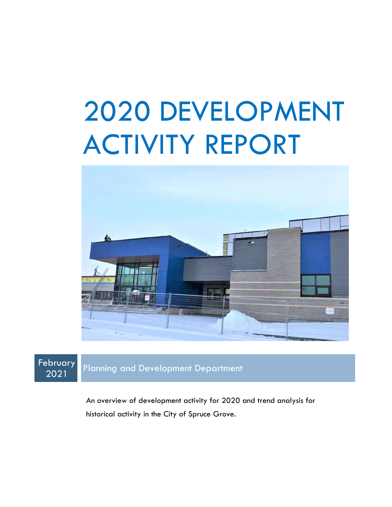# 2020 DEVELOPMENT ACTIVITY REPORT



**February** 

<sup>2021</sup> Planning and Development Department

An overview of development activity for 2020 and trend analysis for historical activity in the City of Spruce Grove.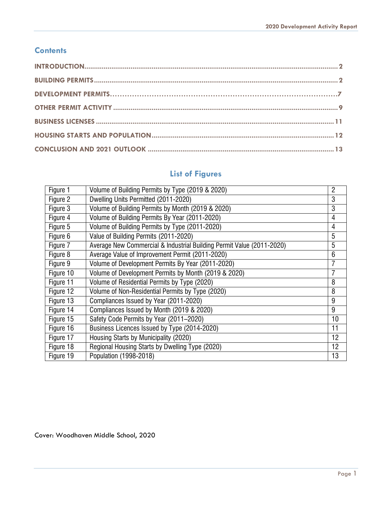#### **Contents**

#### **List of Figures**

| Figure 1  | Volume of Building Permits by Type (2019 & 2020)                      | $\overline{2}$ |
|-----------|-----------------------------------------------------------------------|----------------|
| Figure 2  | Dwelling Units Permitted (2011-2020)                                  | 3              |
| Figure 3  | Volume of Building Permits by Month (2019 & 2020)                     | 3              |
| Figure 4  | Volume of Building Permits By Year (2011-2020)                        | 4              |
| Figure 5  | Volume of Building Permits by Type (2011-2020)                        | 4              |
| Figure 6  | Value of Building Permits (2011-2020)                                 | 5              |
| Figure 7  | Average New Commercial & Industrial Building Permit Value (2011-2020) | 5              |
| Figure 8  | Average Value of Improvement Permit (2011-2020)                       | 6              |
| Figure 9  | Volume of Development Permits By Year (2011-2020)                     |                |
| Figure 10 | Volume of Development Permits by Month (2019 & 2020)                  |                |
| Figure 11 | Volume of Residential Permits by Type (2020)                          | 8              |
| Figure 12 | Volume of Non-Residential Permits by Type (2020)                      | 8              |
| Figure 13 | Compliances Issued by Year (2011-2020)                                | 9              |
| Figure 14 | Compliances Issued by Month (2019 & 2020)                             | 9              |
| Figure 15 | Safety Code Permits by Year (2011-2020)                               | 10             |
| Figure 16 | Business Licences Issued by Type (2014-2020)                          | 11             |
| Figure 17 | Housing Starts by Municipality (2020)                                 | 12             |
| Figure 18 | Regional Housing Starts by Dwelling Type (2020)                       | 12             |
| Figure 19 | Population (1998-2018)                                                | 13             |

Cover: Woodhaven Middle School, 2020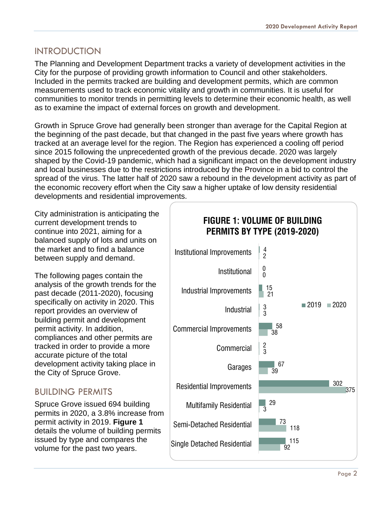#### <span id="page-2-0"></span>INTRODUCTION

The Planning and Development Department tracks a variety of development activities in the City for the purpose of providing growth information to Council and other stakeholders. Included in the permits tracked are building and development permits, which are common measurements used to track economic vitality and growth in communities. It is useful for communities to monitor trends in permitting levels to determine their economic health, as well as to examine the impact of external forces on growth and development.

Growth in Spruce Grove had generally been stronger than average for the Capital Region at the beginning of the past decade, but that changed in the past five years where growth has tracked at an average level for the region. The Region has experienced a cooling off period since 2015 following the unprecedented growth of the previous decade. 2020 was largely shaped by the Covid-19 pandemic, which had a significant impact on the development industry and local businesses due to the restrictions introduced by the Province in a bid to control the spread of the virus. The latter half of 2020 saw a rebound in the development activity as part of the economic recovery effort when the City saw a higher uptake of low density residential developments and residential improvements.

City administration is anticipating the current development trends to continue into 2021, aiming for a balanced supply of lots and units on the market and to find a balance between supply and demand.

The following pages contain the analysis of the growth trends for the past decade (2011-2020), focusing specifically on activity in 2020. This report provides an overview of building permit and development permit activity. In addition, compliances and other permits are tracked in order to provide a more accurate picture of the total development activity taking place in the City of Spruce Grove.

## <span id="page-2-1"></span>BUILDING PERMITS

Spruce Grove issued 694 building permits in 2020, a 3.8% increase from permit activity in 2019. **Figure 1**  details the volume of building permits issued by type and compares the volume for the past two years.

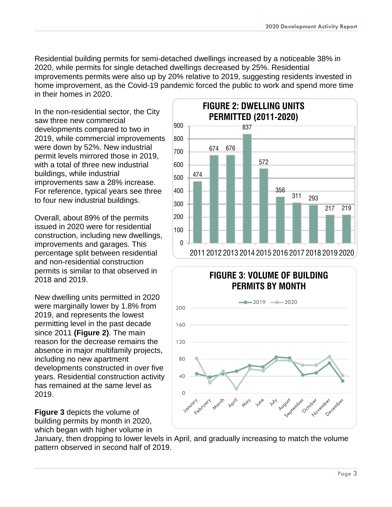Residential building permits for semi-detached dwellings increased by a noticeable 38% in 2020, while permits for single detached dwellings decreased by 25%. Residential improvements permits were also up by 20% relative to 2019, suggesting residents invested in home improvement, as the Covid-19 pandemic forced the public to work and spend more time in their homes in 2020.

In the non-residential sector, the City saw three new commercial developments compared to two in 2019, while commercial improvements were down by 52%. New industrial permit levels mirrored those in 2019, with a total of three new industrial buildings, while industrial improvements saw a 28% increase. For reference, typical years see three to four new industrial buildings.

Overall, about 89% of the permits issued in 2020 were for residential construction, including new dwellings, improvements and garages. This percentage split between residential and non-residential construction permits is similar to that observed in 2018 and 2019.

New dwelling units permitted in 2020 were marginally lower by 1.8% from 2019, and represents the lowest permitting level in the past decade since 2011 **(Figure 2)**. The main reason for the decrease remains the absence in major multifamily projects, including no new apartment developments constructed in over five years. Residential construction activity has remained at the same level as 2019.

**Figure 3** depicts the volume of building permits by month in 2020, which began with higher volume in





January, then dropping to lower levels in April, and gradually increasing to match the volume pattern observed in second half of 2019.

120

160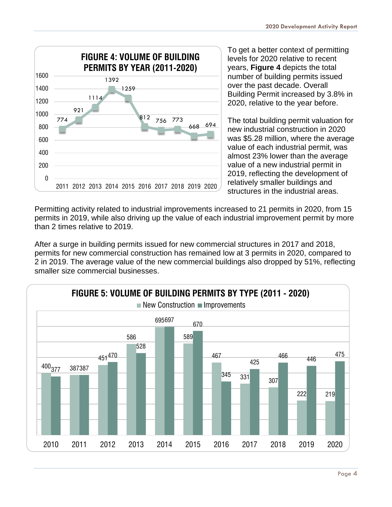

To get a better context of permitting levels for 2020 relative to recent years, **Figure 4** depicts the total number of building permits issued over the past decade. Overall Building Permit increased by 3.8% in 2020, relative to the year before.

The total building permit valuation for new industrial construction in 2020 was \$5.28 million, where the average value of each industrial permit, was almost 23% lower than the average value of a new industrial permit in 2019, reflecting the development of relatively smaller buildings and structures in the industrial areas.

Permitting activity related to industrial improvements increased to 21 permits in 2020, from 15 permits in 2019, while also driving up the value of each industrial improvement permit by more than 2 times relative to 2019.

After a surge in building permits issued for new commercial structures in 2017 and 2018, permits for new commercial construction has remained low at 3 permits in 2020, compared to 2 in 2019. The average value of the new commercial buildings also dropped by 51%, reflecting smaller size commercial businesses.

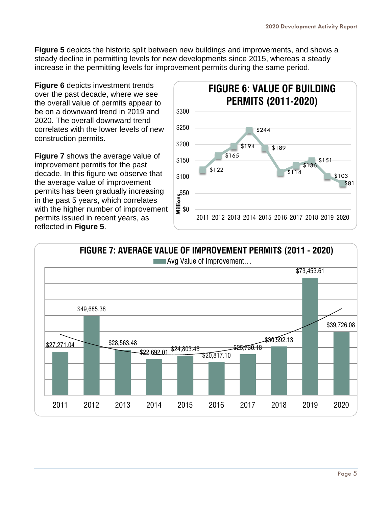**Figure 5** depicts the historic split between new buildings and improvements, and shows a steady decline in permitting levels for new developments since 2015, whereas a steady increase in the permitting levels for improvement permits during the same period.

**Figure 6** depicts investment trends over the past decade, where we see the overall value of permits appear to be on a downward trend in 2019 and 2020. The overall downward trend correlates with the lower levels of new construction permits.

**Figure 7** shows the average value of improvement permits for the past decade. In this figure we observe that the average value of improvement permits has been gradually increasing in the past 5 years, which correlates with the higher number of improvement permits issued in recent years, as reflected in **Figure 5**.





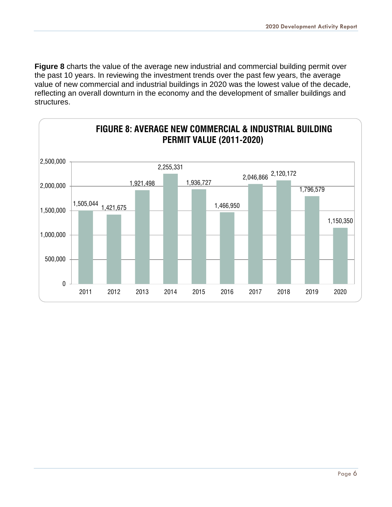**Figure 8** charts the value of the average new industrial and commercial building permit over the past 10 years. In reviewing the investment trends over the past few years, the average value of new commercial and industrial buildings in 2020 was the lowest value of the decade, reflecting an overall downturn in the economy and the development of smaller buildings and structures.

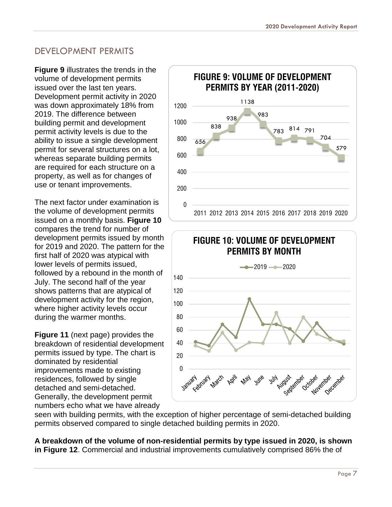## DEVELOPMENT PERMITS

**Figure 9** illustrates the trends in the volume of development permits issued over the last ten years. Development permit activity in 2020 was down approximately 18% from 2019. The difference between building permit and development permit activity levels is due to the ability to issue a single development permit for several structures on a lot, whereas separate building permits are required for each structure on a property, as well as for changes of use or tenant improvements.

The next factor under examination is the volume of development permits issued on a monthly basis. **Figure 10** compares the trend for number of development permits issued by month for 2019 and 2020. The pattern for the first half of 2020 was atypical with lower levels of permits issued, followed by a rebound in the month of July. The second half of the year shows patterns that are atypical of development activity for the region, where higher activity levels occur during the warmer months.

**Figure 11** (next page) provides the breakdown of residential development permits issued by type. The chart is dominated by residential improvements made to existing residences, followed by single detached and semi-detached. Generally, the development permit numbers echo what we have already





seen with building permits, with the exception of higher percentage of semi-detached building permits observed compared to single detached building permits in 2020.

**A breakdown of the volume of non-residential permits by type issued in 2020, is shown in Figure 12**. Commercial and industrial improvements cumulatively comprised 86% the of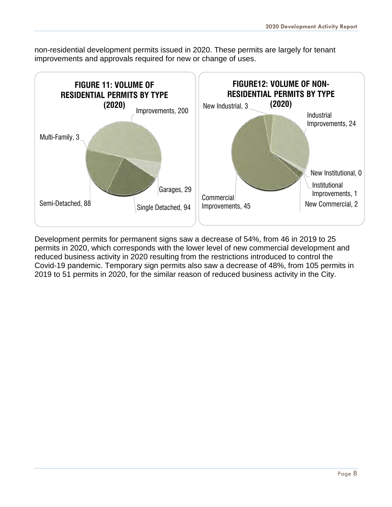non-residential development permits issued in 2020. These permits are largely for tenant improvements and approvals required for new or change of uses.



Development permits for permanent signs saw a decrease of 54%, from 46 in 2019 to 25 permits in 2020, which corresponds with the lower level of new commercial development and reduced business activity in 2020 resulting from the restrictions introduced to control the Covid-19 pandemic. Temporary sign permits also saw a decrease of 48%, from 105 permits in 2019 to 51 permits in 2020, for the similar reason of reduced business activity in the City.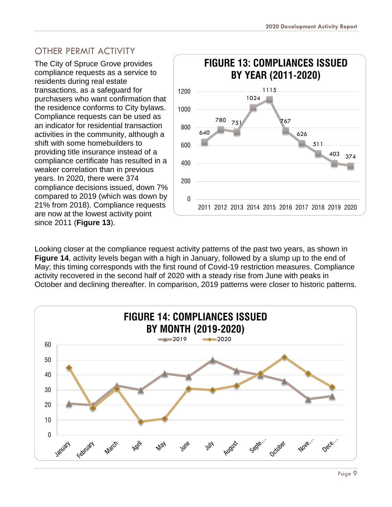#### <span id="page-9-0"></span>OTHER PERMIT ACTIVITY

The City of Spruce Grove provides compliance requests as a service to residents during real estate transactions, as a safeguard for purchasers who want confirmation that the residence conforms to City bylaws. Compliance requests can be used as an indicator for residential transaction activities in the community, although a shift with some homebuilders to providing title insurance instead of a compliance certificate has resulted in a weaker correlation than in previous years. In 2020, there were 374 compliance decisions issued, down 7% compared to 2019 (which was down by 21% from 2018). Compliance requests are now at the lowest activity point since 2011 (**Figure 13**).



Looking closer at the compliance request activity patterns of the past two years, as shown in **Figure 14**, activity levels began with a high in January, followed by a slump up to the end of May; this timing corresponds with the first round of Covid-19 restriction measures. Compliance activity recovered in the second half of 2020 with a steady rise from June with peaks in October and declining thereafter. In comparison, 2019 patterns were closer to historic patterns.

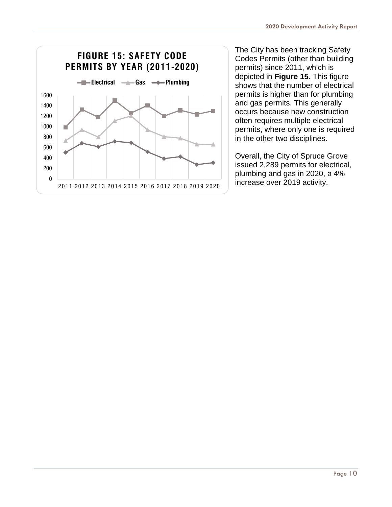

The City has been tracking Safety Codes Permits (other than building permits) since 2011, which is depicted in **Figure 15**. This figure shows that the number of electrical permits is higher than for plumbing and gas permits. This generally occurs because new construction often requires multiple electrical permits, where only one is required in the other two disciplines.

Overall, the City of Spruce Grove issued 2,289 permits for electrical, plumbing and gas in 2020, a 4%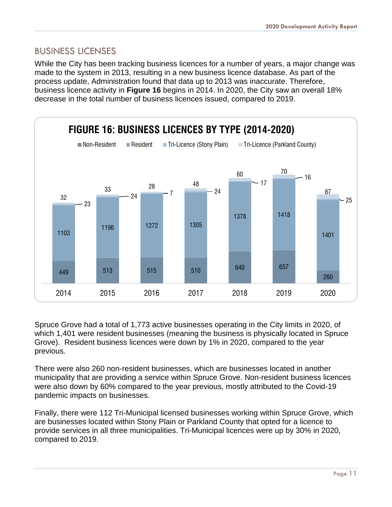#### <span id="page-11-0"></span>BUSINESS LICENSES

While the City has been tracking business licences for a number of years, a major change was made to the system in 2013, resulting in a new business licence database. As part of the process update, Administration found that data up to 2013 was inaccurate. Therefore, business licence activity in **Figure 16** begins in 2014. In 2020, the City saw an overall 18% decrease in the total number of business licences issued, compared to 2019.



Spruce Grove had a total of 1,773 active businesses operating in the City limits in 2020, of which 1,401 were resident businesses (meaning the business is physically located in Spruce Grove). Resident business licences were down by 1% in 2020, compared to the year previous.

There were also 260 non-resident businesses, which are businesses located in another municipality that are providing a service within Spruce Grove. Non-resident business licences were also down by 60% compared to the year previous, mostly attributed to the Covid-19 pandemic impacts on businesses.

Finally, there were 112 Tri-Municipal licensed businesses working within Spruce Grove, which are businesses located within Stony Plain or Parkland County that opted for a licence to provide services in all three municipalities. Tri-Municipal licences were up by 30% in 2020, compared to 2019.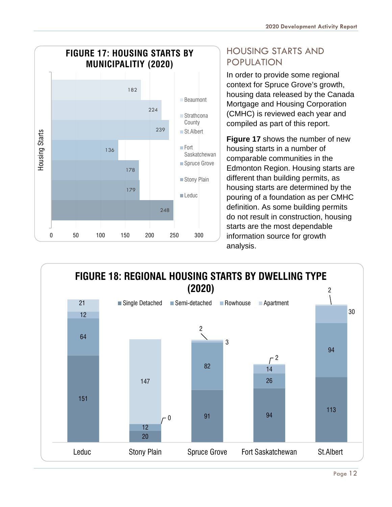

## <span id="page-12-0"></span>HOUSING STARTS AND POPULATION

In order to provide some regional context for Spruce Grove's growth, housing data released by the Canada Mortgage and Housing Corporation (CMHC) is reviewed each year and compiled as part of this report.

**Figure 17** shows the number of new housing starts in a number of comparable communities in the Edmonton Region. Housing starts are different than building permits, as housing starts are determined by the pouring of a foundation as per CMHC definition. As some building permits do not result in construction, housing starts are the most dependable information source for growth analysis.

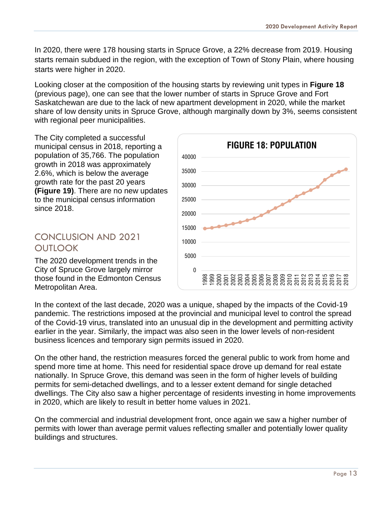In 2020, there were 178 housing starts in Spruce Grove, a 22% decrease from 2019. Housing starts remain subdued in the region, with the exception of Town of Stony Plain, where housing starts were higher in 2020.

Looking closer at the composition of the housing starts by reviewing unit types in **Figure 18**  (previous page), one can see that the lower number of starts in Spruce Grove and Fort Saskatchewan are due to the lack of new apartment development in 2020, while the market share of low density units in Spruce Grove, although marginally down by 3%, seems consistent with regional peer municipalities.

The City completed a successful municipal census in 2018, reporting a population of 35,766. The population growth in 2018 was approximately 2.6%, which is below the average growth rate for the past 20 years **(Figure 19)**. There are no new updates to the municipal census information since 2018.

## <span id="page-13-0"></span>CONCLUSION AND 2021 **OUTLOOK**

The 2020 development trends in the City of Spruce Grove largely mirror those found in the Edmonton Census Metropolitan Area.



In the context of the last decade, 2020 was a unique, shaped by the impacts of the Covid-19 pandemic. The restrictions imposed at the provincial and municipal level to control the spread of the Covid-19 virus, translated into an unusual dip in the development and permitting activity earlier in the year. Similarly, the impact was also seen in the lower levels of non-resident business licences and temporary sign permits issued in 2020.

On the other hand, the restriction measures forced the general public to work from home and spend more time at home. This need for residential space drove up demand for real estate nationally. In Spruce Grove, this demand was seen in the form of higher levels of building permits for semi-detached dwellings, and to a lesser extent demand for single detached dwellings. The City also saw a higher percentage of residents investing in home improvements in 2020, which are likely to result in better home values in 2021.

On the commercial and industrial development front, once again we saw a higher number of permits with lower than average permit values reflecting smaller and potentially lower quality buildings and structures.